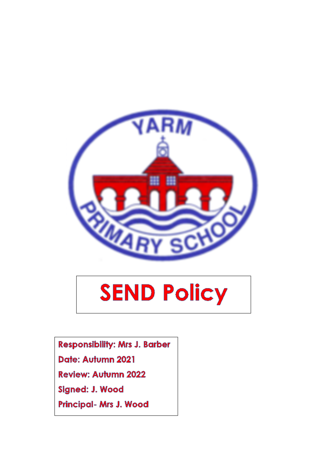

# **SEND Policy**

**Responsibility: Mrs J. Barber** 

Date: Autumn 2021

**Review: Autumn 2022** 

Signed: J. Wood

Principal- Mrs J. Wood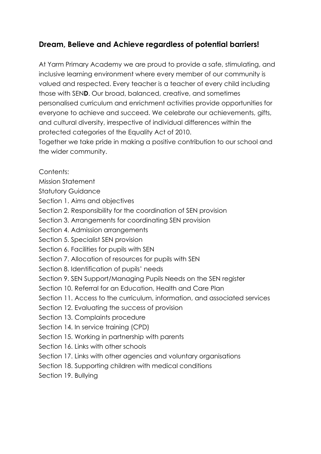## **Dream, Believe and Achieve regardless of potential barriers!**

At Yarm Primary Academy we are proud to provide a safe, stimulating, and inclusive learning environment where every member of our community is valued and respected. Every teacher is a teacher of every child including those with SEN**D**. Our broad, balanced, creative, and sometimes personalised curriculum and enrichment activities provide opportunities for everyone to achieve and succeed. We celebrate our achievements, gifts, and cultural diversity, irrespective of individual differences within the protected categories of the Equality Act of 2010.

Together we take pride in making a positive contribution to our school and the wider community.

Contents:

- Mission Statement
- Statutory Guidance
- Section 1. Aims and objectives
- Section 2. Responsibility for the coordination of SEN provision
- Section 3. Arrangements for coordinating SEN provision
- Section 4. Admission arrangements
- Section 5. Specialist SEN provision
- Section 6. Facilities for pupils with SEN
- Section 7. Allocation of resources for pupils with SEN
- Section 8. Identification of pupils' needs
- Section 9. SEN Support/Managing Pupils Needs on the SEN register
- Section 10. Referral for an Education, Health and Care Plan
- Section 11. Access to the curriculum, information, and associated services
- Section 12. Evaluating the success of provision
- Section 13. Complaints procedure
- Section 14. In service training (CPD)
- Section 15. Working in partnership with parents
- Section 16. Links with other schools
- Section 17. Links with other agencies and voluntary organisations
- Section 18. Supporting children with medical conditions
- Section 19. Bullying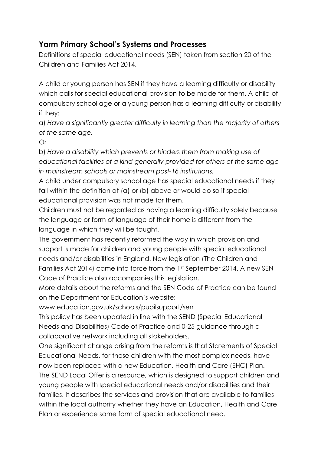## **Yarm Primary School's Systems and Processes**

Definitions of special educational needs (SEN) taken from section 20 of the Children and Families Act 2014.

A child or young person has SEN if they have a learning difficulty or disability which calls for special educational provision to be made for them. A child of compulsory school age or a young person has a learning difficulty or disability if they:

a) *Have a significantly greater difficulty in learning than the majority of others of the same age.*

Or

b) *Have a disability which prevents or hinders them from making use of educational facilities of a kind generally provided for others of the same age in mainstream schools or mainstream post-16 institutions.*

A child under compulsory school age has special educational needs if they fall within the definition at (a) or (b) above or would do so if special educational provision was not made for them.

Children must not be regarded as having a learning difficulty solely because the language or form of language of their home is different from the language in which they will be taught.

The government has recently reformed the way in which provision and support is made for children and young people with special educational needs and/or disabilities in England. New legislation (The Children and Families Act 2014) came into force from the 1st September 2014. A new SEN Code of Practice also accompanies this legislation.

More details about the reforms and the SEN Code of Practice can be found on the Department for Education's website:

www.education.gov.uk/schools/pupilsupport/sen

This policy has been updated in line with the SEND (Special Educational Needs and Disabilities) Code of Practice and 0-25 guidance through a collaborative network including all stakeholders.

One significant change arising from the reforms is that Statements of Special Educational Needs, for those children with the most complex needs, have now been replaced with a new Education, Health and Care (EHC) Plan. The SEND Local Offer is a resource, which is designed to support children and young people with special educational needs and/or disabilities and their families. It describes the services and provision that are available to families within the local authority whether they have an Education, Health and Care Plan or experience some form of special educational need.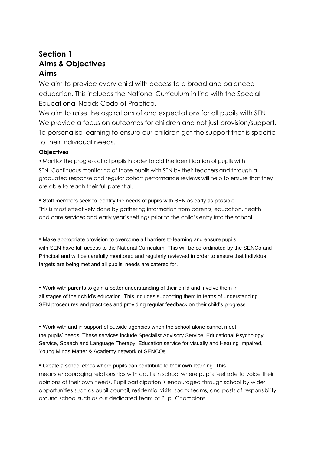## **Section 1 Aims & Objectives Aims**

We aim to provide every child with access to a broad and balanced education. This includes the National Curriculum in line with the Special Educational Needs Code of Practice.

We aim to raise the aspirations of and expectations for all pupils with SEN. We provide a focus on outcomes for children and not just provision/support. To personalise learning to ensure our children get the support that is specific to their individual needs.

#### **Objectives**

• Monitor the progress of all pupils in order to aid the identification of pupils with SEN. Continuous monitoring of those pupils with SEN by their teachers and through a graduated response and regular cohort performance reviews will help to ensure that they are able to reach their full potential.

• Staff members seek to identify the needs of pupils with SEN as early as possible. This is most effectively done by gathering information from parents, education, health and care services and early year's settings prior to the child's entry into the school.

• Make appropriate provision to overcome all barriers to learning and ensure pupils with SEN have full access to the National Curriculum. This will be co-ordinated by the SENCo and Principal and will be carefully monitored and regularly reviewed in order to ensure that individual targets are being met and all pupils' needs are catered for.

• Work with parents to gain a better understanding of their child and involve them in all stages of their child's education. This includes supporting them in terms of understanding SEN procedures and practices and providing regular feedback on their child's progress.

• Work with and in support of outside agencies when the school alone cannot meet the pupils' needs. These services include Specialist Advisory Service, Educational Psychology Service, Speech and Language Therapy, Education service for visually and Hearing Impaired, Young Minds Matter & Academy network of SENCOs.

• Create a school ethos where pupils can contribute to their own learning. This means encouraging relationships with adults in school where pupils feel safe to voice their opinions of their own needs. Pupil participation is encouraged through school by wider opportunities such as pupil council, residential visits, sports teams, and posts of responsibility around school such as our dedicated team of Pupil Champions.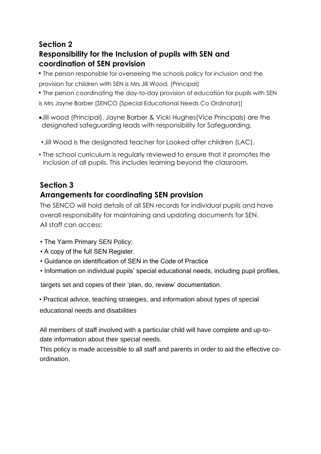## **Section 2 Responsibility for the Inclusion of pupils with SEN and coordination of SEN provision**

• The person responsible for overseeing the schools policy for inclusion and the provision for children with SEN is Mrs Jill Wood, (Principal)

• The person coordinating the day-to-day provision of education for pupils with SEN is Mrs Jayne Barber [SENCO (Special Educational Needs Co Ordinator)]

- •Jill wood (Principal), Jayne Barber & Vicki Hughes(Vice Principals) are the designated safeguarding leads with responsibility for Safeguarding.
- •Jill Wood is the designated teacher for Looked after children (LAC).
- The school curriculum is regularly reviewed to ensure that it promotes the inclusion of all pupils. This includes learning beyond the classroom.

# **Section 3 Arrangements for coordinating SEN provision**

The SENCO will hold details of all SEN records for individual pupils and have overall responsibility for maintaining and updating documents for SEN. All staff can access:

- The Yarm Primary SEN Policy;
- A copy of the full SEN Register.
- Guidance on identification of SEN in the Code of Practice
- Information on individual pupils' special educational needs, including pupil profiles,

targets set and copies of their 'plan, do, review' documentation.

• Practical advice, teaching strategies, and information about types of special educational needs and disabilities

All members of staff involved with a particular child will have complete and up-todate information about their special needs.

This policy is made accessible to all staff and parents in order to aid the effective coordination.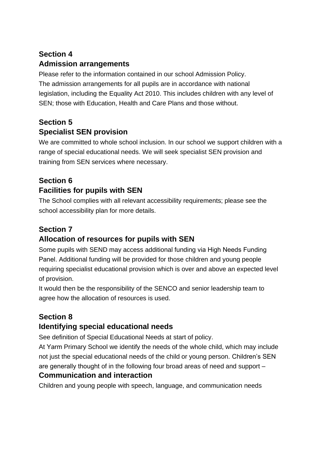# **Section 4 Admission arrangements**

Please refer to the information contained in our school Admission Policy. The admission arrangements for all pupils are in accordance with national legislation, including the Equality Act 2010. This includes children with any level of SEN; those with Education, Health and Care Plans and those without.

# **Section 5 Specialist SEN provision**

We are committed to whole school inclusion. In our school we support children with a range of special educational needs. We will seek specialist SEN provision and training from SEN services where necessary.

# **Section 6 Facilities for pupils with SEN**

The School complies with all relevant accessibility requirements; please see the school accessibility plan for more details.

# **Section 7 Allocation of resources for pupils with SEN**

Some pupils with SEND may access additional funding via High Needs Funding Panel. Additional funding will be provided for those children and young people requiring specialist educational provision which is over and above an expected level of provision.

It would then be the responsibility of the SENCO and senior leadership team to agree how the allocation of resources is used.

# **Section 8**

## **Identifying special educational needs**

See definition of Special Educational Needs at start of policy.

At Yarm Primary School we identify the needs of the whole child, which may include not just the special educational needs of the child or young person. Children's SEN are generally thought of in the following four broad areas of need and support –

## **Communication and interaction**

Children and young people with speech, language, and communication needs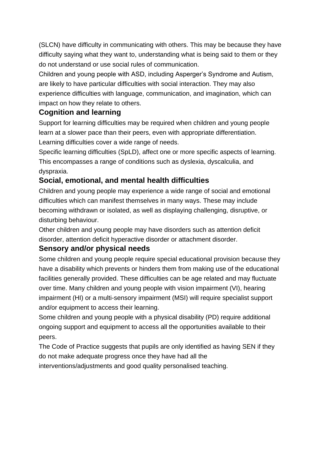(SLCN) have difficulty in communicating with others. This may be because they have difficulty saying what they want to, understanding what is being said to them or they do not understand or use social rules of communication.

Children and young people with ASD, including Asperger's Syndrome and Autism, are likely to have particular difficulties with social interaction. They may also experience difficulties with language, communication, and imagination, which can impact on how they relate to others.

### **Cognition and learning**

Support for learning difficulties may be required when children and young people learn at a slower pace than their peers, even with appropriate differentiation. Learning difficulties cover a wide range of needs.

Specific learning difficulties (SpLD), affect one or more specific aspects of learning. This encompasses a range of conditions such as dyslexia, dyscalculia, and dyspraxia.

#### **Social, emotional, and mental health difficulties**

Children and young people may experience a wide range of social and emotional difficulties which can manifest themselves in many ways. These may include becoming withdrawn or isolated, as well as displaying challenging, disruptive, or disturbing behaviour.

Other children and young people may have disorders such as attention deficit disorder, attention deficit hyperactive disorder or attachment disorder.

#### **Sensory and/or physical needs**

Some children and young people require special educational provision because they have a disability which prevents or hinders them from making use of the educational facilities generally provided. These difficulties can be age related and may fluctuate over time. Many children and young people with vision impairment (VI), hearing impairment (HI) or a multi-sensory impairment (MSI) will require specialist support and/or equipment to access their learning.

Some children and young people with a physical disability (PD) require additional ongoing support and equipment to access all the opportunities available to their peers.

The Code of Practice suggests that pupils are only identified as having SEN if they do not make adequate progress once they have had all the

interventions/adjustments and good quality personalised teaching.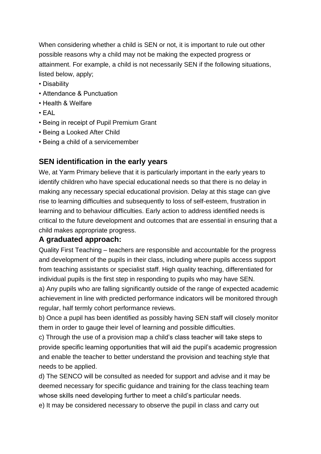When considering whether a child is SEN or not, it is important to rule out other possible reasons why a child may not be making the expected progress or attainment. For example, a child is not necessarily SEN if the following situations, listed below, apply;

- Disability
- Attendance & Punctuation
- Health & Welfare
- EAL
- Being in receipt of Pupil Premium Grant
- Being a Looked After Child
- Being a child of a servicemember

## **SEN identification in the early years**

We, at Yarm Primary believe that it is particularly important in the early years to identify children who have special educational needs so that there is no delay in making any necessary special educational provision. Delay at this stage can give rise to learning difficulties and subsequently to loss of self-esteem, frustration in learning and to behaviour difficulties. Early action to address identified needs is critical to the future development and outcomes that are essential in ensuring that a child makes appropriate progress.

## **A graduated approach:**

Quality First Teaching – teachers are responsible and accountable for the progress and development of the pupils in their class, including where pupils access support from teaching assistants or specialist staff. High quality teaching, differentiated for individual pupils is the first step in responding to pupils who may have SEN.

a) Any pupils who are falling significantly outside of the range of expected academic achievement in line with predicted performance indicators will be monitored through regular, half termly cohort performance reviews.

b) Once a pupil has been identified as possibly having SEN staff will closely monitor them in order to gauge their level of learning and possible difficulties.

c) Through the use of a provision map a child's class teacher will take steps to provide specific learning opportunities that will aid the pupil's academic progression and enable the teacher to better understand the provision and teaching style that needs to be applied.

d) The SENCO will be consulted as needed for support and advise and it may be deemed necessary for specific guidance and training for the class teaching team whose skills need developing further to meet a child's particular needs.

e) It may be considered necessary to observe the pupil in class and carry out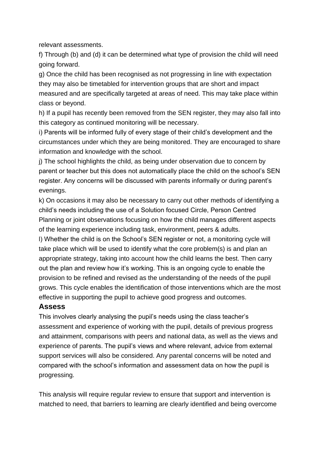relevant assessments.

f) Through (b) and (d) it can be determined what type of provision the child will need going forward.

g) Once the child has been recognised as not progressing in line with expectation they may also be timetabled for intervention groups that are short and impact measured and are specifically targeted at areas of need. This may take place within class or beyond.

h) If a pupil has recently been removed from the SEN register, they may also fall into this category as continued monitoring will be necessary.

i) Parents will be informed fully of every stage of their child's development and the circumstances under which they are being monitored. They are encouraged to share information and knowledge with the school.

j) The school highlights the child, as being under observation due to concern by parent or teacher but this does not automatically place the child on the school's SEN register. Any concerns will be discussed with parents informally or during parent's evenings.

k) On occasions it may also be necessary to carry out other methods of identifying a child's needs including the use of a Solution focused Circle, Person Centred Planning or joint observations focusing on how the child manages different aspects of the learning experience including task, environment, peers & adults.

l) Whether the child is on the School's SEN register or not, a monitoring cycle will take place which will be used to identify what the core problem(s) is and plan an appropriate strategy, taking into account how the child learns the best. Then carry out the plan and review how it's working. This is an ongoing cycle to enable the provision to be refined and revised as the understanding of the needs of the pupil grows. This cycle enables the identification of those interventions which are the most effective in supporting the pupil to achieve good progress and outcomes.

#### **Assess**

This involves clearly analysing the pupil's needs using the class teacher's assessment and experience of working with the pupil, details of previous progress and attainment, comparisons with peers and national data, as well as the views and experience of parents. The pupil's views and where relevant, advice from external support services will also be considered. Any parental concerns will be noted and compared with the school's information and assessment data on how the pupil is progressing.

This analysis will require regular review to ensure that support and intervention is matched to need, that barriers to learning are clearly identified and being overcome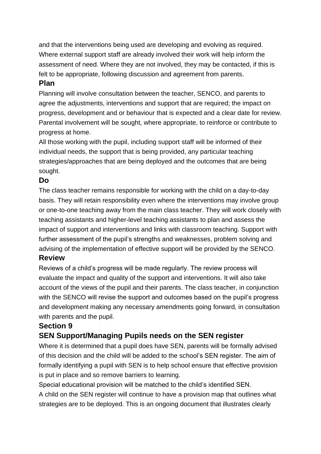and that the interventions being used are developing and evolving as required. Where external support staff are already involved their work will help inform the assessment of need. Where they are not involved, they may be contacted, if this is felt to be appropriate, following discussion and agreement from parents.

#### **Plan**

Planning will involve consultation between the teacher, SENCO, and parents to agree the adjustments, interventions and support that are required; the impact on progress, development and or behaviour that is expected and a clear date for review. Parental involvement will be sought, where appropriate, to reinforce or contribute to progress at home.

All those working with the pupil, including support staff will be informed of their individual needs, the support that is being provided, any particular teaching strategies/approaches that are being deployed and the outcomes that are being sought.

#### **Do**

The class teacher remains responsible for working with the child on a day-to-day basis. They will retain responsibility even where the interventions may involve group or one-to-one teaching away from the main class teacher. They will work closely with teaching assistants and higher-level teaching assistants to plan and assess the impact of support and interventions and links with classroom teaching. Support with further assessment of the pupil's strengths and weaknesses, problem solving and advising of the implementation of effective support will be provided by the SENCO. **Review**

Reviews of a child's progress will be made regularly. The review process will evaluate the impact and quality of the support and interventions. It will also take account of the views of the pupil and their parents. The class teacher, in conjunction with the SENCO will revise the support and outcomes based on the pupil's progress and development making any necessary amendments going forward, in consultation with parents and the pupil.

## **Section 9**

## **SEN Support/Managing Pupils needs on the SEN register**

Where it is determined that a pupil does have SEN, parents will be formally advised of this decision and the child will be added to the school's SEN register. The aim of formally identifying a pupil with SEN is to help school ensure that effective provision is put in place and so remove barriers to learning.

Special educational provision will be matched to the child's identified SEN.

A child on the SEN register will continue to have a provision map that outlines what strategies are to be deployed. This is an ongoing document that illustrates clearly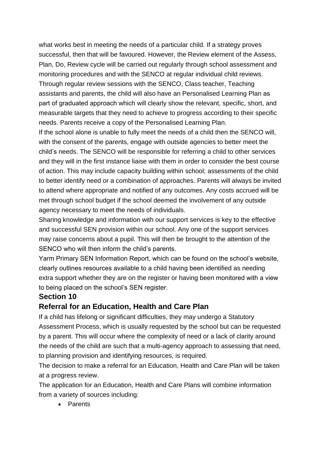what works best in meeting the needs of a particular child. If a strategy proves successful, then that will be favoured. However, the Review element of the Assess, Plan, Do, Review cycle will be carried out regularly through school assessment and monitoring procedures and with the SENCO at regular individual child reviews. Through regular review sessions with the SENCO, Class teacher, Teaching assistants and parents, the child will also have an Personalised Learning Plan as part of graduated approach which will clearly show the relevant, specific, short, and measurable targets that they need to achieve to progress according to their specific needs. Parents receive a copy of the Personalised Learning Plan.

If the school alone is unable to fully meet the needs of a child then the SENCO will, with the consent of the parents, engage with outside agencies to better meet the child's needs. The SENCO will be responsible for referring a child to other services and they will in the first instance liaise with them in order to consider the best course of action. This may include capacity building within school; assessments of the child to better identify need or a combination of approaches. Parents will always be invited to attend where appropriate and notified of any outcomes. Any costs accrued will be met through school budget if the school deemed the involvement of any outside agency necessary to meet the needs of individuals.

Sharing knowledge and information with our support services is key to the effective and successful SEN provision within our school. Any one of the support services may raise concerns about a pupil. This will then be brought to the attention of the SENCO who will then inform the child's parents.

Yarm Primary SEN Information Report, which can be found on the school's website, clearly outlines resources available to a child having been identified as needing extra support whether they are on the register or having been monitored with a view to being placed on the school's SEN register.

#### **Section 10**

#### **Referral for an Education, Health and Care Plan**

If a child has lifelong or significant difficulties, they may undergo a Statutory Assessment Process, which is usually requested by the school but can be requested by a parent. This will occur where the complexity of need or a lack of clarity around the needs of the child are such that a multi-agency approach to assessing that need, to planning provision and identifying resources, is required.

The decision to make a referral for an Education, Health and Care Plan will be taken at a progress review.

The application for an Education, Health and Care Plans will combine information from a variety of sources including:

• Parents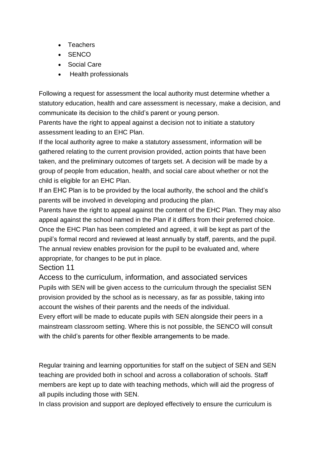- Teachers
- SENCO
- Social Care
- Health professionals

Following a request for assessment the local authority must determine whether a statutory education, health and care assessment is necessary, make a decision, and communicate its decision to the child's parent or young person.

Parents have the right to appeal against a decision not to initiate a statutory assessment leading to an EHC Plan.

If the local authority agree to make a statutory assessment, information will be gathered relating to the current provision provided, action points that have been taken, and the preliminary outcomes of targets set. A decision will be made by a group of people from education, health, and social care about whether or not the child is eligible for an EHC Plan.

If an EHC Plan is to be provided by the local authority, the school and the child's parents will be involved in developing and producing the plan.

Parents have the right to appeal against the content of the EHC Plan. They may also appeal against the school named in the Plan if it differs from their preferred choice. Once the EHC Plan has been completed and agreed, it will be kept as part of the pupil's formal record and reviewed at least annually by staff, parents, and the pupil. The annual review enables provision for the pupil to be evaluated and, where appropriate, for changes to be put in place.

Section 11

Access to the curriculum, information, and associated services Pupils with SEN will be given access to the curriculum through the specialist SEN provision provided by the school as is necessary, as far as possible, taking into account the wishes of their parents and the needs of the individual.

Every effort will be made to educate pupils with SEN alongside their peers in a mainstream classroom setting. Where this is not possible, the SENCO will consult with the child's parents for other flexible arrangements to be made.

Regular training and learning opportunities for staff on the subject of SEN and SEN teaching are provided both in school and across a collaboration of schools. Staff members are kept up to date with teaching methods, which will aid the progress of all pupils including those with SEN.

In class provision and support are deployed effectively to ensure the curriculum is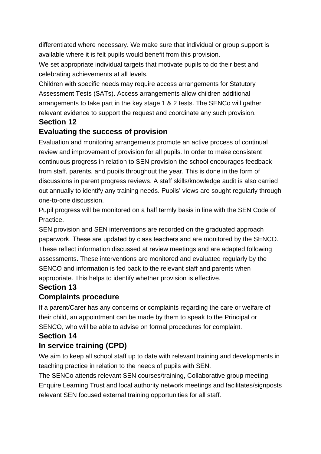differentiated where necessary. We make sure that individual or group support is available where it is felt pupils would benefit from this provision.

We set appropriate individual targets that motivate pupils to do their best and celebrating achievements at all levels.

Children with specific needs may require access arrangements for Statutory Assessment Tests (SATs). Access arrangements allow children additional arrangements to take part in the key stage 1 & 2 tests. The SENCo will gather relevant evidence to support the request and coordinate any such provision. **Section 12**

## **Evaluating the success of provision**

Evaluation and monitoring arrangements promote an active process of continual review and improvement of provision for all pupils. In order to make consistent continuous progress in relation to SEN provision the school encourages feedback from staff, parents, and pupils throughout the year. This is done in the form of discussions in parent progress reviews. A staff skills/knowledge audit is also carried out annually to identify any training needs. Pupils' views are sought regularly through one-to-one discussion.

Pupil progress will be monitored on a half termly basis in line with the SEN Code of Practice.

SEN provision and SEN interventions are recorded on the graduated approach paperwork. These are updated by class teachers and are monitored by the SENCO. These reflect information discussed at review meetings and are adapted following assessments. These interventions are monitored and evaluated regularly by the SENCO and information is fed back to the relevant staff and parents when appropriate. This helps to identify whether provision is effective.

## **Section 13**

## **Complaints procedure**

If a parent/Carer has any concerns or complaints regarding the care or welfare of their child, an appointment can be made by them to speak to the Principal or SENCO, who will be able to advise on formal procedures for complaint.

#### **Section 14**

## **In service training (CPD)**

We aim to keep all school staff up to date with relevant training and developments in teaching practice in relation to the needs of pupils with SEN.

The SENCo attends relevant SEN courses/training, Collaborative group meeting, Enquire Learning Trust and local authority network meetings and facilitates/signposts relevant SEN focused external training opportunities for all staff.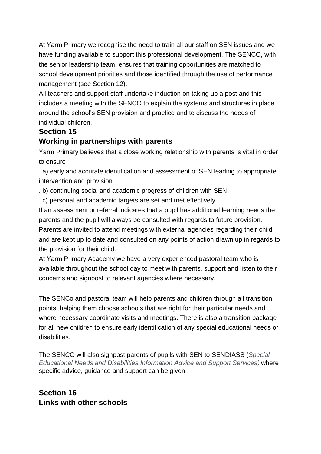At Yarm Primary we recognise the need to train all our staff on SEN issues and we have funding available to support this professional development. The SENCO, with the senior leadership team, ensures that training opportunities are matched to school development priorities and those identified through the use of performance management (see Section 12).

All teachers and support staff undertake induction on taking up a post and this includes a meeting with the SENCO to explain the systems and structures in place around the school's SEN provision and practice and to discuss the needs of individual children.

#### **Section 15**

## **Working in partnerships with parents**

Yarm Primary believes that a close working relationship with parents is vital in order to ensure

. a) early and accurate identification and assessment of SEN leading to appropriate intervention and provision

. b) continuing social and academic progress of children with SEN

. c) personal and academic targets are set and met effectively

If an assessment or referral indicates that a pupil has additional learning needs the parents and the pupil will always be consulted with regards to future provision. Parents are invited to attend meetings with external agencies regarding their child and are kept up to date and consulted on any points of action drawn up in regards to the provision for their child.

At Yarm Primary Academy we have a very experienced pastoral team who is available throughout the school day to meet with parents, support and listen to their concerns and signpost to relevant agencies where necessary.

The SENCo and pastoral team will help parents and children through all transition points, helping them choose schools that are right for their particular needs and where necessary coordinate visits and meetings. There is also a transition package for all new children to ensure early identification of any special educational needs or disabilities.

The SENCO will also signpost parents of pupils with SEN to SENDIASS (*Special Educational Needs and Disabilities Information Advice and Support Services)* where specific advice, guidance and support can be given.

## **Section 16 Links with other schools**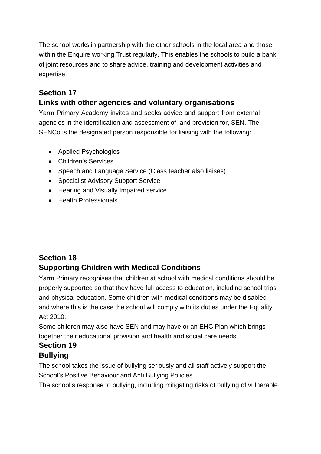The school works in partnership with the other schools in the local area and those within the Enquire working Trust regularly. This enables the schools to build a bank of joint resources and to share advice, training and development activities and expertise.

# **Section 17**

# **Links with other agencies and voluntary organisations**

Yarm Primary Academy invites and seeks advice and support from external agencies in the identification and assessment of, and provision for, SEN. The SENCo is the designated person responsible for liaising with the following:

- Applied Psychologies
- Children's Services
- Speech and Language Service (Class teacher also liaises)
- Specialist Advisory Support Service
- Hearing and Visually Impaired service
- Health Professionals

## **Section 18 Supporting Children with Medical Conditions**

Yarm Primary recognises that children at school with medical conditions should be properly supported so that they have full access to education, including school trips and physical education. Some children with medical conditions may be disabled and where this is the case the school will comply with its duties under the Equality Act 2010.

Some children may also have SEN and may have or an EHC Plan which brings together their educational provision and health and social care needs.

#### **Section 19 Bullying**

The school takes the issue of bullying seriously and all staff actively support the School's Positive Behaviour and Anti Bullying Policies.

The school's response to bullying, including mitigating risks of bullying of vulnerable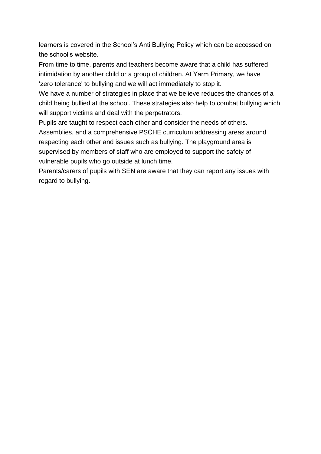learners is covered in the School's Anti Bullying Policy which can be accessed on the school's website.

From time to time, parents and teachers become aware that a child has suffered intimidation by another child or a group of children. At Yarm Primary, we have 'zero tolerance' to bullying and we will act immediately to stop it.

We have a number of strategies in place that we believe reduces the chances of a child being bullied at the school. These strategies also help to combat bullying which will support victims and deal with the perpetrators.

Pupils are taught to respect each other and consider the needs of others. Assemblies, and a comprehensive PSCHE curriculum addressing areas around respecting each other and issues such as bullying. The playground area is

supervised by members of staff who are employed to support the safety of vulnerable pupils who go outside at lunch time.

Parents/carers of pupils with SEN are aware that they can report any issues with regard to bullying.